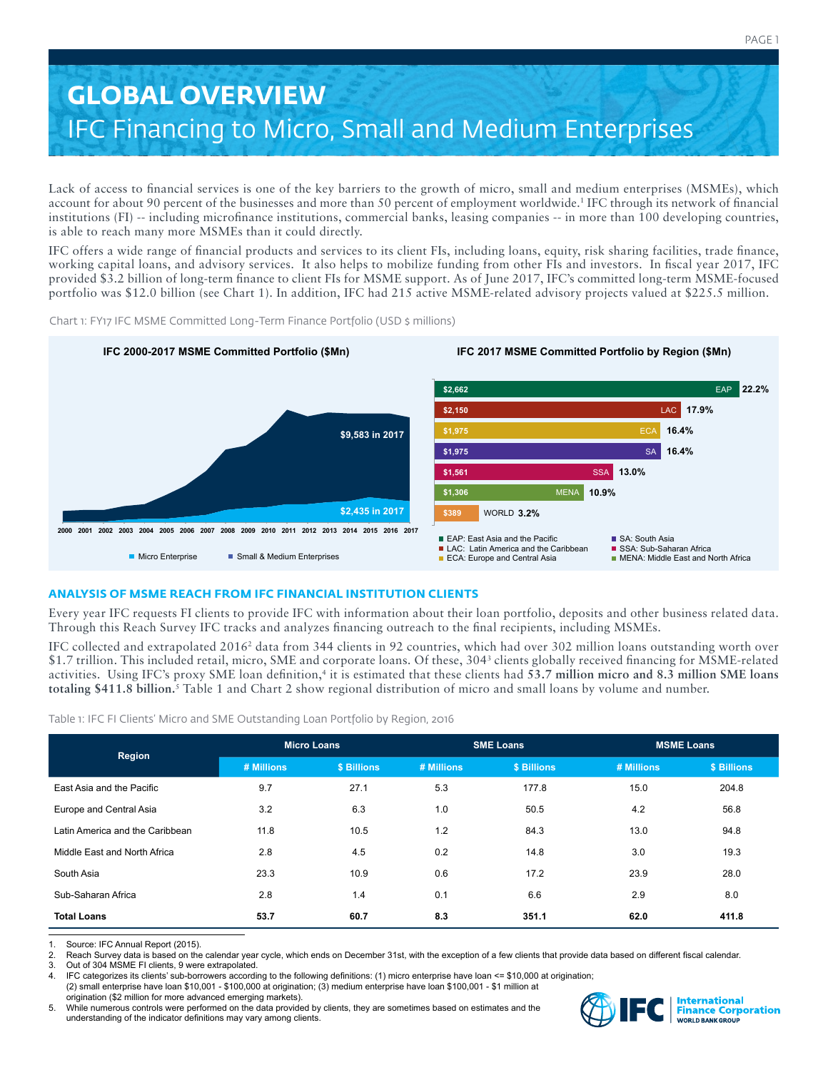# **GLOBAL OVERVIEW** IFC Financing to Micro, Small and Medium Enterprises

Lack of access to financial services is one of the key barriers to the growth of micro, small and medium enterprises (MSMEs), which account for about 90 percent of the businesses and more than 50 percent of employment worldwide.1 IFC through its network of financial institutions (FI) -- including microfinance institutions, commercial banks, leasing companies -- in more than 100 developing countries, is able to reach many more MSMEs than it could directly.

IFC offers a wide range of financial products and services to its client FIs, including loans, equity, risk sharing facilities, trade finance, working capital loans, and advisory services. It also helps to mobilize funding from other FIs and investors. In fiscal year 2017, IFC provided \$3.2 billion of long-term finance to client FIs for MSME support. As of June 2017, IFC's committed long-term MSME-focused portfolio was \$12.0 billion (see Chart 1). In addition, IFC had 215 active MSME-related advisory projects valued at \$225.5 million.

**2000 2001 2002 2003 2004 2005 2006 2007 2008 2009 2010 2011 2012 2013 2014 2015 2016 2017 \$2,662 \$2,150 \$1,975 \$1,561 10.9% 3.2% \$389** WORLD **22.2%** EAP **16.4% 17.9%** LAC **16.4% 13.0%** SSA ECA **SA IFC 2017 MSME Committed Portfolio by Region (\$Mn) Micro Enterprise** Small & Medium Enterprises **IFC 2000-2017 MSME Committed Portfolio (\$Mn)**  EAP: East Asia and the Pacific LAC: Latin America and the Caribbean ECA: Europe and Central Asia SA: South Asia SSA: Sub-Saharan Africa **MENA: Middle East and North Africa \$1,975 \$1,306** MENA **\$9,583 in 2017 \$2,435 in 2017**

Chart 1: FY17 IFC MSME Committed Long-Term Finance Portfolio (USD \$ millions)

# **ANALYSIS OF MSME REACH FROM IFC FINANCIAL INSTITUTION CLIENTS**

Every year IFC requests FI clients to provide IFC with information about their loan portfolio, deposits and other business related data. Through this Reach Survey IFC tracks and analyzes financing outreach to the final recipients, including MSMEs.

IFC collected and extrapolated 20162 data from 344 clients in 92 countries, which had over 302 million loans outstanding worth over \$1.7 trillion. This included retail, micro, SME and corporate loans. Of these, 3043 clients globally received financing for MSME-related activities. Using IFC's proxy SME loan definition,<sup>4</sup> it is estimated that these clients had 53.7 million micro and 8.3 million SME loans **totaling \$411.8 billion.**5 Table 1 and Chart 2 show regional distribution of micro and small loans by volume and number.

Table 1: IFC FI Clients' Micro and SME Outstanding Loan Portfolio by Region, 2016

| Region                          | <b>Micro Loans</b> |                   | <b>SME Loans</b> |                   | <b>MSME Loans</b> |             |
|---------------------------------|--------------------|-------------------|------------------|-------------------|-------------------|-------------|
|                                 | # Millions         | <b>S Billions</b> | # Millions       | <b>S Billions</b> | # Millions        | \$ Billions |
| East Asia and the Pacific       | 9.7                | 27.1              | 5.3              | 177.8             | 15.0              | 204.8       |
| Europe and Central Asia         | 3.2                | 6.3               | 1.0              | 50.5              | 4.2               | 56.8        |
| Latin America and the Caribbean | 11.8               | 10.5              | 1.2              | 84.3              | 13.0              | 94.8        |
| Middle East and North Africa    | 2.8                | 4.5               | 0.2              | 14.8              | 3.0               | 19.3        |
| South Asia                      | 23.3               | 10.9              | 0.6              | 17.2              | 23.9              | 28.0        |
| Sub-Saharan Africa              | 2.8                | 1.4               | 0.1              | 6.6               | 2.9               | 8.0         |
| <b>Total Loans</b>              | 53.7               | 60.7              | 8.3              | 351.1             | 62.0              | 411.8       |

1. Source: IFC Annual Report (2015).<br>2. Reach Survey data is based on the

Reach Survey data is based on the calendar year cycle, which ends on December 31st, with the exception of a few clients that provide data based on different fiscal calendar.

3. Out of 304 MSME FI clients, 9 were extrapolated.<br>4. IFC categorizes its clients' sub-borrowers according

IFC categorizes its clients' sub-borrowers according to the following definitions: (1) micro enterprise have loan <= \$10,000 at origination;

(2) small enterprise have loan \$10,001 - \$100,000 at origination; (3) medium enterprise have loan \$100,001 - \$1 million at origination (\$2 million for more advanced emerging markets).

5. While numerous controls were performed on the data provided by clients, they are sometimes based on estimates and the understanding of the indicator definitions may vary among clients.

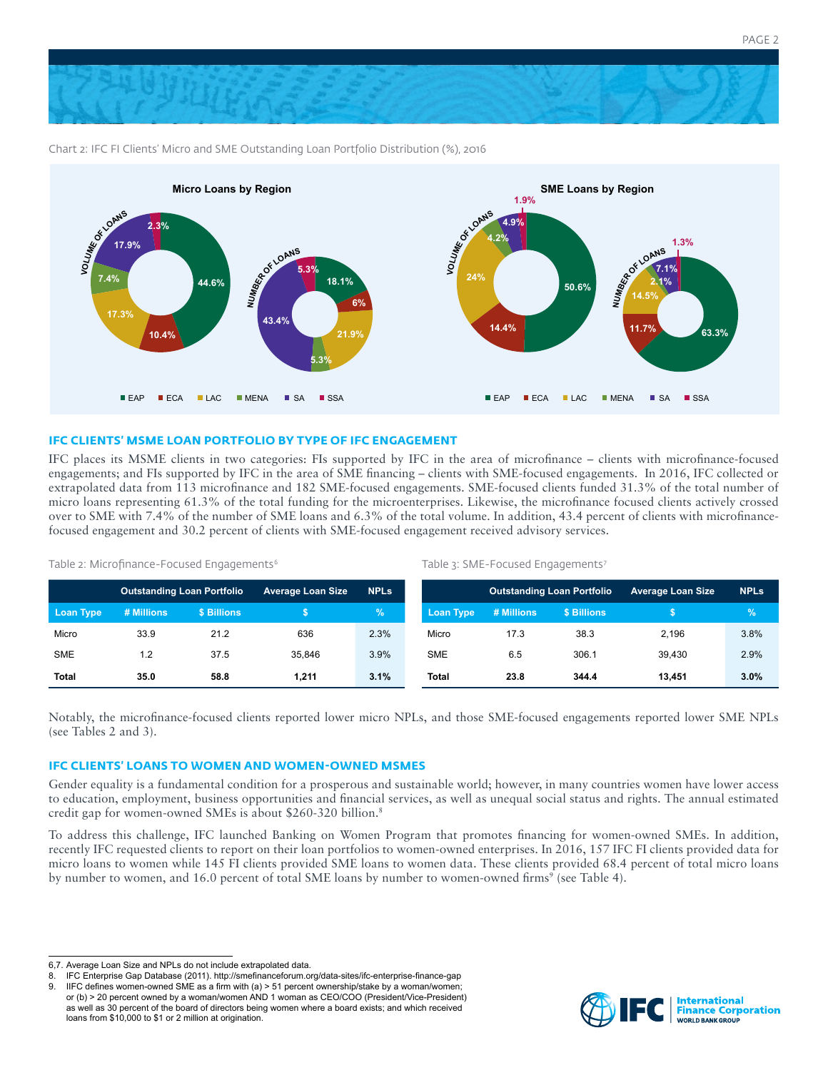

Chart 2: IFC FI Clients' Micro and SME Outstanding Loan Portfolio Distribution (%), 2016



# **IFC CLIENTS' MSME LOAN PORTFOLIO BY TYPE OF IFC ENGAGEMENT**

IFC places its MSME clients in two categories: FIs supported by IFC in the area of microfinance – clients with microfinance-focused engagements; and FIs supported by IFC in the area of SME financing – clients with SME-focused engagements. In 2016, IFC collected or extrapolated data from 113 microfinance and 182 SME-focused engagements. SME-focused clients funded 31.3% of the total number of micro loans representing 61.3% of the total funding for the microenterprises. Likewise, the microfinance focused clients actively crossed over to SME with 7.4% of the number of SME loans and 6.3% of the total volume. In addition, 43.4 percent of clients with microfinancefocused engagement and 30.2 percent of clients with SME-focused engagement received advisory services.

|              | <b>Outstanding Loan Portfolio</b> |             | <b>Average Loan Size</b> | <b>NPLs</b>   |                  | <b>Outstanding Loan Portfolio</b> |             | <b>Average Loan Size</b> | <b>NPLs</b> |
|--------------|-----------------------------------|-------------|--------------------------|---------------|------------------|-----------------------------------|-------------|--------------------------|-------------|
| Loan Type    | # Millions                        | \$ Billions |                          | $\mathcal{A}$ | <b>Loan Type</b> | # Millions                        | \$ Billions |                          | ℅           |
| Micro        | 33.9                              | 21.2        | 636                      | 2.3%          | Micro            | 17.3                              | 38.3        | 2.196                    | 3.8%        |
| <b>SME</b>   | $\cdot$ .2                        | 37.5        | 35.846                   | 3.9%          | <b>SME</b>       | 6.5                               | 306.1       | 39.430                   | 2.9%        |
| <b>Total</b> | 35.0                              | 58.8        | 1.211                    | 3.1%          | Total            | 23.8                              | 344.4       | 13.451                   | 3.0%        |

Table 2: Microfinance-Focused Engagements<sup>6</sup>

Table 3: SME-Focused Engagements<sup>7</sup>

Notably, the microfinance-focused clients reported lower micro NPLs, and those SME-focused engagements reported lower SME NPLs (see Tables 2 and 3).

# **IFC CLIENTS' LOANS TO WOMEN AND WOMEN-OWNED MSMES**

Gender equality is a fundamental condition for a prosperous and sustainable world; however, in many countries women have lower access to education, employment, business opportunities and financial services, as well as unequal social status and rights. The annual estimated credit gap for women-owned SMEs is about \$260-320 billion.8

To address this challenge, IFC launched Banking on Women Program that promotes financing for women-owned SMEs. In addition, recently IFC requested clients to report on their loan portfolios to women-owned enterprises. In 2016, 157 IFC FI clients provided data for micro loans to women while 145 FI clients provided SME loans to women data. These clients provided 68.4 percent of total micro loans by number to women, and 16.0 percent of total SME loans by number to women-owned firms<sup>9</sup> (see Table 4).



PAGE 2

<sup>6,7.</sup> Average Loan Size and NPLs do not include extrapolated data.

<sup>8.</sup> IFC Enterprise Gap Database (2011). http://smefinanceforum.org/data-sites/ifc-enterprise-finance-gap

<sup>9.</sup> IIFC defines women-owned SME as a firm with (a) > 51 percent ownership/stake by a woman/women; or (b) > 20 percent owned by a woman/women AND 1 woman as CEO/COO (President/Vice-President) as well as 30 percent of the board of directors being women where a board exists; and which received loans from \$10,000 to \$1 or 2 million at origination.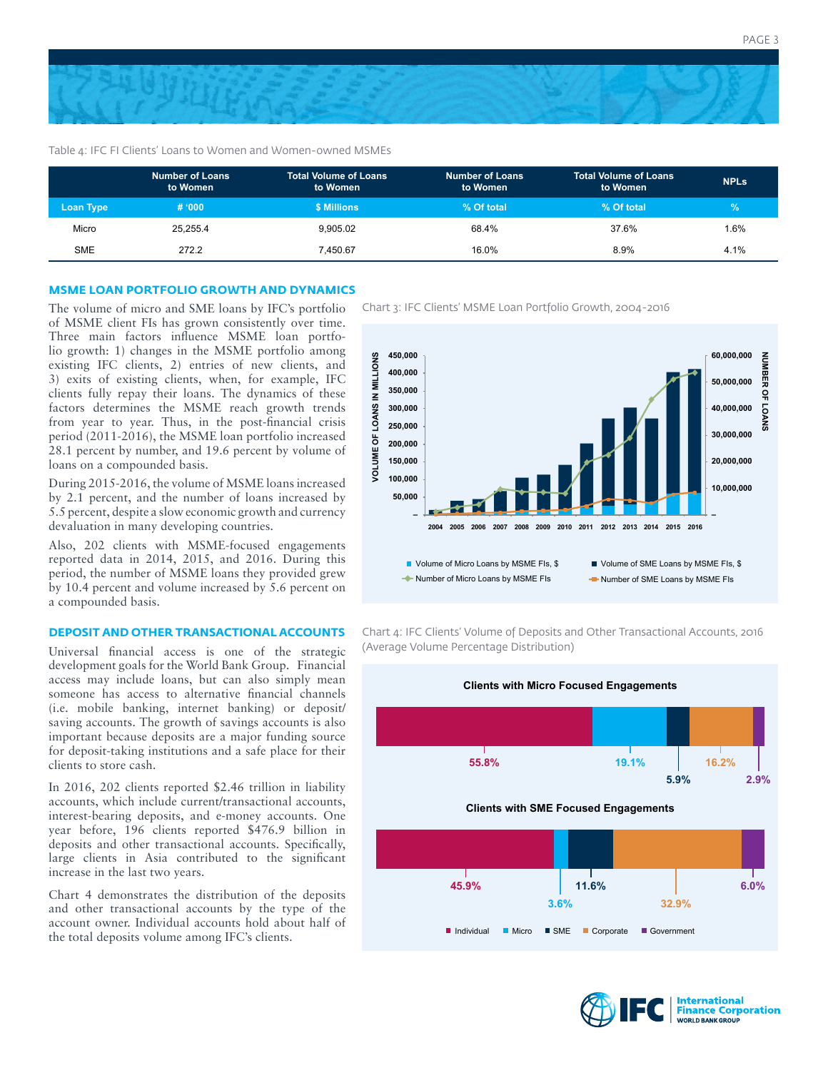

#### Table 4: IFC FI Clients' Loans to Women and Women-owned MSMEs

|                  | <b>Number of Loans</b><br>to Women | <b>Total Volume of Loans</b><br>to Women | <b>Number of Loans</b><br>to Women | 'Total Volume of Loans .<br>to Women | <b>NPLs</b>   |
|------------------|------------------------------------|------------------------------------------|------------------------------------|--------------------------------------|---------------|
| <b>Loan Type</b> | # '000                             | <b>\$ Millions</b>                       | % Of total                         | % Of total                           | $\mathcal{C}$ |
| Micro            | 25.255.4                           | 9,905.02                                 | 68.4%                              | 37.6%                                | $1.6\%$       |
| <b>SME</b>       | 272.2                              | 7.450.67                                 | 16.0%                              | 8.9%                                 | 4.1%          |

#### **MSME LOAN PORTFOLIO GROWTH AND DYNAMICS**

of MSME client FIs has grown consistently over time. Three main factors influence MSME loan portfolio growth: 1) changes in the MSME portfolio among existing IFC clients, 2) entries of new clients, and 3) exits of existing clients, when, for example, IFC clients fully repay their loans. The dynamics of these factors determines the MSME reach growth trends from year to year. Thus, in the post-financial crisis period (2011-2016), the MSME loan portfolio increased 28.1 percent by number, and 19.6 percent by volume of loans on a compounded basis.

During 2015-2016, the volume of MSME loans increased by 2.1 percent, and the number of loans increased by 5.5 percent, despite a slow economic growth and currency devaluation in many developing countries.

Also, 202 clients with MSME-focused engagements reported data in 2014, 2015, and 2016. During this period, the number of MSME loans they provided grew by 10.4 percent and volume increased by 5.6 percent on a compounded basis.

## **DEPOSIT AND OTHER TRANSACTIONAL ACCOUNTS**

Universal financial access is one of the strategic development goals for the World Bank Group. Financial access may include loans, but can also simply mean someone has access to alternative financial channels (i.e. mobile banking, internet banking) or deposit/ saving accounts. The growth of savings accounts is also important because deposits are a major funding source for deposit-taking institutions and a safe place for their clients to store cash.

In 2016, 202 clients reported \$2.46 trillion in liability accounts, which include current/transactional accounts, interest-bearing deposits, and e-money accounts. One year before, 196 clients reported \$476.9 billion in deposits and other transactional accounts. Specifically, large clients in Asia contributed to the significant increase in the last two years.

Chart 4 demonstrates the distribution of the deposits and other transactional accounts by the type of the account owner. Individual accounts hold about half of the total deposits volume among IFC's clients.

The volume of micro and SME loans by IFC's portfolio Chart 3: IFC Clients' MSME Loan Portfolio Growth, 2004-2016



Chart 4: IFC Clients' Volume of Deposits and Other Transactional Accounts, 2016 (Average Volume Percentage Distribution)